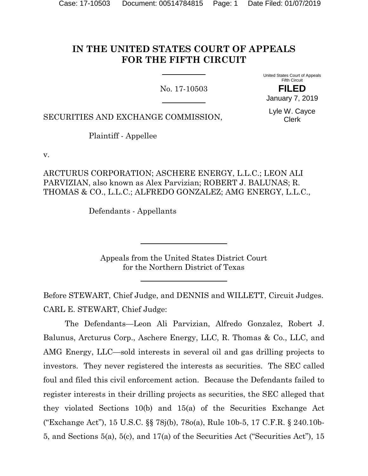# **IN THE UNITED STATES COURT OF APPEALS FOR THE FIFTH CIRCUIT**

No. 17-10503

United States Court of Appeals Fifth Circuit **FILED**

January 7, 2019

SECURITIES AND EXCHANGE COMMISSION,

Lyle W. Cayce Clerk

Plaintiff - Appellee

v.

ARCTURUS CORPORATION; ASCHERE ENERGY, L.L.C.; LEON ALI PARVIZIAN, also known as Alex Parvizian; ROBERT J. BALUNAS; R. THOMAS & CO., L.L.C.; ALFREDO GONZALEZ; AMG ENERGY, L.L.C.,

Defendants - Appellants

Appeals from the United States District Court for the Northern District of Texas

Before STEWART, Chief Judge, and DENNIS and WILLETT, Circuit Judges. CARL E. STEWART, Chief Judge:

The Defendants—Leon Ali Parvizian, Alfredo Gonzalez, Robert J. Balunus, Arcturus Corp., Aschere Energy, LLC, R. Thomas & Co., LLC, and AMG Energy, LLC—sold interests in several oil and gas drilling projects to investors. They never registered the interests as securities. The SEC called foul and filed this civil enforcement action. Because the Defendants failed to register interests in their drilling projects as securities, the SEC alleged that they violated Sections 10(b) and 15(a) of the Securities Exchange Act ("Exchange Act"), 15 U.S.C. §§ 78j(b), 78o(a), Rule 10b-5, 17 C.F.R. § 240.10b-5, and Sections 5(a), 5(c), and 17(a) of the Securities Act ("Securities Act"), 15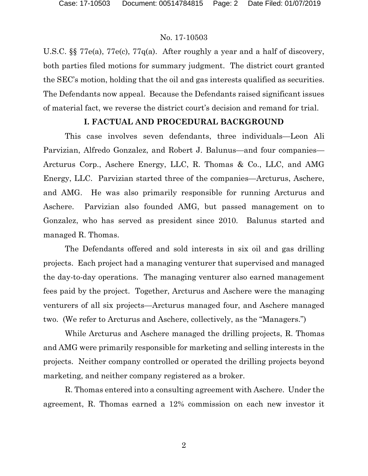U.S.C. §§ 77e(a), 77e(c), 77q(a). After roughly a year and a half of discovery, both parties filed motions for summary judgment. The district court granted the SEC's motion, holding that the oil and gas interests qualified as securities. The Defendants now appeal. Because the Defendants raised significant issues of material fact, we reverse the district court's decision and remand for trial.

### **I. FACTUAL AND PROCEDURAL BACKGROUND**

This case involves seven defendants, three individuals—Leon Ali Parvizian, Alfredo Gonzalez, and Robert J. Balunus—and four companies— Arcturus Corp., Aschere Energy, LLC, R. Thomas & Co., LLC, and AMG Energy, LLC. Parvizian started three of the companies—Arcturus, Aschere, and AMG. He was also primarily responsible for running Arcturus and Aschere. Parvizian also founded AMG, but passed management on to Gonzalez, who has served as president since 2010. Balunus started and managed R. Thomas.

The Defendants offered and sold interests in six oil and gas drilling projects. Each project had a managing venturer that supervised and managed the day-to-day operations. The managing venturer also earned management fees paid by the project. Together, Arcturus and Aschere were the managing venturers of all six projects—Arcturus managed four, and Aschere managed two. (We refer to Arcturus and Aschere, collectively, as the "Managers.")

While Arcturus and Aschere managed the drilling projects, R. Thomas and AMG were primarily responsible for marketing and selling interests in the projects. Neither company controlled or operated the drilling projects beyond marketing, and neither company registered as a broker.

R. Thomas entered into a consulting agreement with Aschere. Under the agreement, R. Thomas earned a 12% commission on each new investor it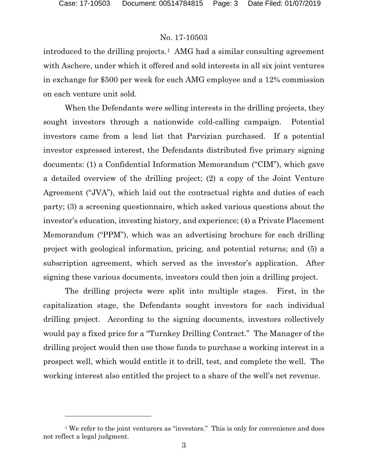### No. 17-10503

introduced to the drilling projects.<sup>1</sup> AMG had a similar consulting agreement with Aschere, under which it offered and sold interests in all six joint ventures in exchange for \$500 per week for each AMG employee and a 12% commission on each venture unit sold.

When the Defendants were selling interests in the drilling projects, they sought investors through a nationwide cold-calling campaign. Potential investors came from a lead list that Parvizian purchased. If a potential investor expressed interest, the Defendants distributed five primary signing documents: (1) a Confidential Information Memorandum ("CIM"), which gave a detailed overview of the drilling project; (2) a copy of the Joint Venture Agreement ("JVA"), which laid out the contractual rights and duties of each party; (3) a screening questionnaire, which asked various questions about the investor's education, investing history, and experience; (4) a Private Placement Memorandum ("PPM"), which was an advertising brochure for each drilling project with geological information, pricing, and potential returns; and (5) a subscription agreement, which served as the investor's application. After signing these various documents, investors could then join a drilling project.

The drilling projects were split into multiple stages. First, in the capitalization stage, the Defendants sought investors for each individual drilling project. According to the signing documents, investors collectively would pay a fixed price for a "Turnkey Drilling Contract." The Manager of the drilling project would then use those funds to purchase a working interest in a prospect well, which would entitle it to drill, test, and complete the well. The working interest also entitled the project to a share of the well's net revenue.

<span id="page-2-0"></span><sup>&</sup>lt;sup>1</sup> We refer to the joint venturers as "investors." This is only for convenience and does not reflect a legal judgment.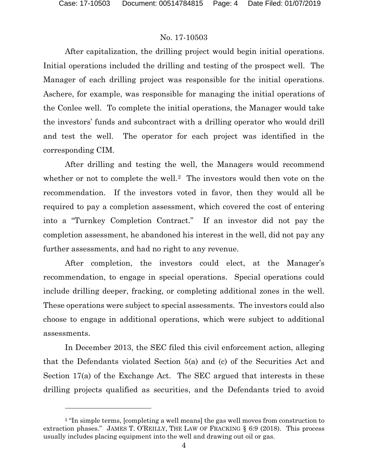### No. 17-10503

After capitalization, the drilling project would begin initial operations. Initial operations included the drilling and testing of the prospect well. The Manager of each drilling project was responsible for the initial operations. Aschere, for example, was responsible for managing the initial operations of the Conlee well. To complete the initial operations, the Manager would take the investors' funds and subcontract with a drilling operator who would drill and test the well. The operator for each project was identified in the corresponding CIM.

After drilling and testing the well, the Managers would recommend whether or not to complete the well.<sup>2</sup> The investors would then vote on the recommendation. If the investors voted in favor, then they would all be required to pay a completion assessment, which covered the cost of entering into a "Turnkey Completion Contract." If an investor did not pay the completion assessment, he abandoned his interest in the well, did not pay any further assessments, and had no right to any revenue.

After completion, the investors could elect, at the Manager's recommendation, to engage in special operations. Special operations could include drilling deeper, fracking, or completing additional zones in the well. These operations were subject to special assessments. The investors could also choose to engage in additional operations, which were subject to additional assessments.

In December 2013, the SEC filed this civil enforcement action, alleging that the Defendants violated Section 5(a) and (c) of the Securities Act and Section 17(a) of the Exchange Act. The SEC argued that interests in these drilling projects qualified as securities, and the Defendants tried to avoid

<span id="page-3-0"></span><sup>&</sup>lt;sup>2</sup> "In simple terms, [completing a well means] the gas well moves from construction to extraction phases." JAMES T. O'REILLY, THE LAW OF FRACKING § 6:9 (2018). This process usually includes placing equipment into the well and drawing out oil or gas.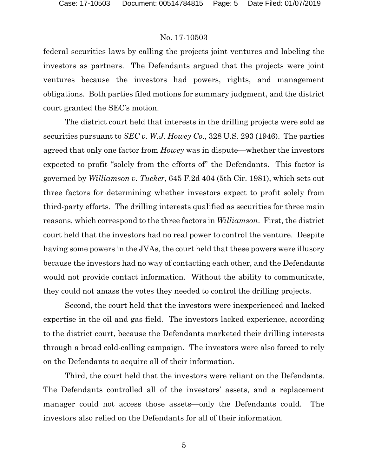federal securities laws by calling the projects joint ventures and labeling the investors as partners. The Defendants argued that the projects were joint ventures because the investors had powers, rights, and management obligations. Both parties filed motions for summary judgment, and the district court granted the SEC's motion.

The district court held that interests in the drilling projects were sold as securities pursuant to *SEC v. W.J. Howey Co.*, 328 U.S. 293 (1946). The parties agreed that only one factor from *Howey* was in dispute—whether the investors expected to profit "solely from the efforts of" the Defendants. This factor is governed by *Williamson v. Tucker*, 645 F.2d 404 (5th Cir. 1981), which sets out three factors for determining whether investors expect to profit solely from third-party efforts. The drilling interests qualified as securities for three main reasons, which correspond to the three factors in *Williamson*. First, the district court held that the investors had no real power to control the venture. Despite having some powers in the JVAs, the court held that these powers were illusory because the investors had no way of contacting each other, and the Defendants would not provide contact information. Without the ability to communicate, they could not amass the votes they needed to control the drilling projects.

Second, the court held that the investors were inexperienced and lacked expertise in the oil and gas field. The investors lacked experience, according to the district court, because the Defendants marketed their drilling interests through a broad cold-calling campaign. The investors were also forced to rely on the Defendants to acquire all of their information.

Third, the court held that the investors were reliant on the Defendants. The Defendants controlled all of the investors' assets, and a replacement manager could not access those assets—only the Defendants could. The investors also relied on the Defendants for all of their information.

5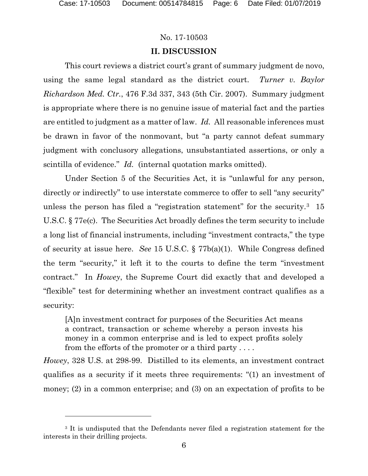### No. 17-10503

### **II. DISCUSSION**

This court reviews a district court's grant of summary judgment de novo, using the same legal standard as the district court. *Turner v. Baylor Richardson Med. Ctr.*, 476 F.3d 337, 343 (5th Cir. 2007). Summary judgment is appropriate where there is no genuine issue of material fact and the parties are entitled to judgment as a matter of law. *Id.* All reasonable inferences must be drawn in favor of the nonmovant, but "a party cannot defeat summary judgment with conclusory allegations, unsubstantiated assertions, or only a scintilla of evidence." *Id.* (internal quotation marks omitted).

Under Section 5 of the Securities Act, it is "unlawful for any person, directly or indirectly" to use interstate commerce to offer to sell "any security" unless the person has filed a "registration statement" for the security.<sup>3</sup> 15 U.S.C. § 77e(c). The Securities Act broadly defines the term security to include a long list of financial instruments, including "investment contracts," the type of security at issue here. *See* 15 U.S.C. § 77b(a)(1). While Congress defined the term "security," it left it to the courts to define the term "investment contract." In *Howey*, the Supreme Court did exactly that and developed a "flexible" test for determining whether an investment contract qualifies as a security:

[A]n investment contract for purposes of the Securities Act means a contract, transaction or scheme whereby a person invests his money in a common enterprise and is led to expect profits solely from the efforts of the promoter or a third party . . . .

*Howey*, 328 U.S. at 298-99. Distilled to its elements, an investment contract qualifies as a security if it meets three requirements: "(1) an investment of money; (2) in a common enterprise; and (3) on an expectation of profits to be

<span id="page-5-0"></span><sup>&</sup>lt;sup>3</sup> It is undisputed that the Defendants never filed a registration statement for the interests in their drilling projects.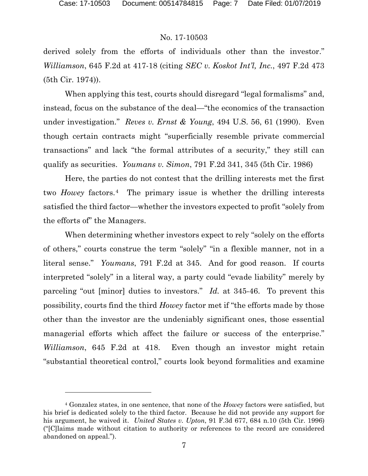### No. 17-10503

derived solely from the efforts of individuals other than the investor." *Williamson*, 645 F.2d at 417-18 (citing *SEC v. Koskot Int'l, Inc.*, 497 F.2d 473 (5th Cir. 1974)).

When applying this test, courts should disregard "legal formalisms" and, instead, focus on the substance of the deal—"the economics of the transaction under investigation." *Reves v. Ernst & Young*, 494 U.S. 56, 61 (1990). Even though certain contracts might "superficially resemble private commercial transactions" and lack "the formal attributes of a security," they still can qualify as securities. *Youmans v. Simon*, 791 F.2d 341, 345 (5th Cir. 1986)

Here, the parties do not contest that the drilling interests met the first two *Howey* factors.[4](#page-6-0) The primary issue is whether the drilling interests satisfied the third factor—whether the investors expected to profit "solely from the efforts of" the Managers.

When determining whether investors expect to rely "solely on the efforts of others," courts construe the term "solely" "in a flexible manner, not in a literal sense." *Youmans*, 791 F.2d at 345. And for good reason. If courts interpreted "solely" in a literal way, a party could "evade liability" merely by parceling "out [minor] duties to investors." *Id.* at 345-46. To prevent this possibility, courts find the third *Howey* factor met if "the efforts made by those other than the investor are the undeniably significant ones, those essential managerial efforts which affect the failure or success of the enterprise." *Williamson*, 645 F.2d at 418. Even though an investor might retain "substantial theoretical control," courts look beyond formalities and examine

<span id="page-6-0"></span><sup>4</sup> Gonzalez states, in one sentence, that none of the *Howey* factors were satisfied, but his brief is dedicated solely to the third factor. Because he did not provide any support for his argument, he waived it. *United States v. Upton*, 91 F.3d 677, 684 n.10 (5th Cir. 1996) ("[C]laims made without citation to authority or references to the record are considered abandoned on appeal.").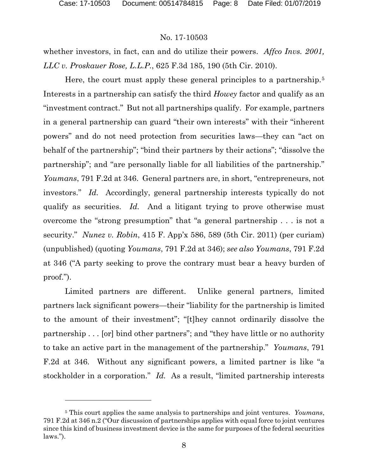# No. 17-10503

whether investors, in fact, can and do utilize their powers. *Affco Invs. 2001, LLC v. Proskauer Rose, L.L.P.*, 625 F.3d 185, 190 (5th Cir. 2010).

Here, the court must apply these general principles to a partnership.<sup>[5](#page-7-0)</sup> Interests in a partnership can satisfy the third *Howey* factor and qualify as an "investment contract." But not all partnerships qualify. For example, partners in a general partnership can guard "their own interests" with their "inherent powers" and do not need protection from securities laws—they can "act on behalf of the partnership"; "bind their partners by their actions"; "dissolve the partnership"; and "are personally liable for all liabilities of the partnership." *Youmans*, 791 F.2d at 346. General partners are, in short, "entrepreneurs, not investors." *Id.* Accordingly, general partnership interests typically do not qualify as securities. *Id.* And a litigant trying to prove otherwise must overcome the "strong presumption" that "a general partnership . . . is not a security." *Nunez v. Robin*, 415 F. App'x 586, 589 (5th Cir. 2011) (per curiam) (unpublished) (quoting *Youmans*, 791 F.2d at 346); *see also Youmans*, 791 F.2d at 346 ("A party seeking to prove the contrary must bear a heavy burden of proof.").

Limited partners are different. Unlike general partners, limited partners lack significant powers—their "liability for the partnership is limited to the amount of their investment"; "[t]hey cannot ordinarily dissolve the partnership . . . [or] bind other partners"; and "they have little or no authority to take an active part in the management of the partnership." *Youmans*, 791 F.2d at 346. Without any significant powers, a limited partner is like "a stockholder in a corporation." *Id.* As a result, "limited partnership interests

<span id="page-7-0"></span><sup>5</sup> This court applies the same analysis to partnerships and joint ventures. *Youmans*, 791 F.2d at 346 n.2 ("Our discussion of partnerships applies with equal force to joint ventures since this kind of business investment device is the same for purposes of the federal securities laws.").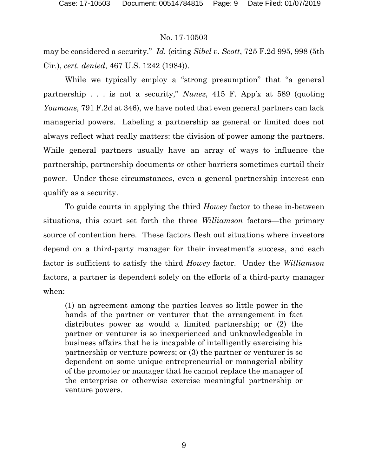may be considered a security." *Id.* (citing *Sibel v. Scott*, 725 F.2d 995, 998 (5th Cir.), *cert. denied*, 467 U.S. 1242 (1984)).

While we typically employ a "strong presumption" that "a general partnership . . . is not a security," *Nunez*, 415 F. App'x at 589 (quoting *Youmans*, 791 F.2d at 346), we have noted that even general partners can lack managerial powers. Labeling a partnership as general or limited does not always reflect what really matters: the division of power among the partners. While general partners usually have an array of ways to influence the partnership, partnership documents or other barriers sometimes curtail their power. Under these circumstances, even a general partnership interest can qualify as a security.

To guide courts in applying the third *Howey* factor to these in-between situations, this court set forth the three *Williamson* factors—the primary source of contention here. These factors flesh out situations where investors depend on a third-party manager for their investment's success, and each factor is sufficient to satisfy the third *Howey* factor. Under the *Williamson* factors, a partner is dependent solely on the efforts of a third-party manager when:

(1) an agreement among the parties leaves so little power in the hands of the partner or venturer that the arrangement in fact distributes power as would a limited partnership; or (2) the partner or venturer is so inexperienced and unknowledgeable in business affairs that he is incapable of intelligently exercising his partnership or venture powers; or (3) the partner or venturer is so dependent on some unique entrepreneurial or managerial ability of the promoter or manager that he cannot replace the manager of the enterprise or otherwise exercise meaningful partnership or venture powers.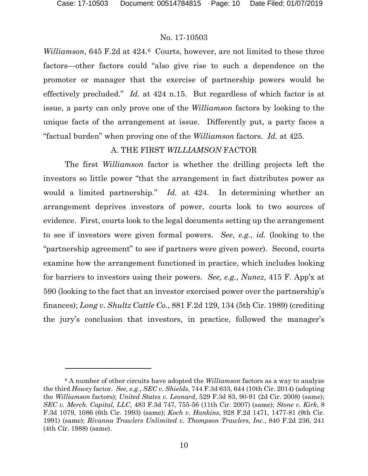### No. 17-10503

*Williamson*, 645 F.2d at 424.<sup>6</sup> Courts, however, are not limited to these three factors—other factors could "also give rise to such a dependence on the promoter or manager that the exercise of partnership powers would be effectively precluded." *Id.* at 424 n.15. But regardless of which factor is at issue, a party can only prove one of the *Williamson* factors by looking to the unique facts of the arrangement at issue. Differently put, a party faces a "factual burden" when proving one of the *Williamson* factors. *Id.* at 425.

### A. THE FIRST *WILLIAMSON* FACTOR

The first *Williamson* factor is whether the drilling projects left the investors so little power "that the arrangement in fact distributes power as would a limited partnership." *Id.* at 424. In determining whether an arrangement deprives investors of power, courts look to two sources of evidence. First, courts look to the legal documents setting up the arrangement to see if investors were given formal powers. *See, e.g.*, *id.* (looking to the "partnership agreement" to see if partners were given power). Second, courts examine how the arrangement functioned in practice, which includes looking for barriers to investors using their powers. *See, e.g.*, *Nunez*, 415 F. App'x at 590 (looking to the fact that an investor exercised power over the partnership's finances); *Long v. Shultz Cattle Co.*, 881 F.2d 129, 134 (5th Cir. 1989) (crediting the jury's conclusion that investors, in practice, followed the manager's

<span id="page-9-0"></span><sup>6</sup> A number of other circuits have adopted the *Williamson* factors as a way to analyze the third *Howey* factor. *See, e.g.*, *SEC v. Shields*, 744 F.3d 633, 644 (10th Cir. 2014) (adopting the *Williamson* factors); *United States v. Leonard*, 529 F.3d 83, 90-91 (2d Cir. 2008) (same); *SEC v. Merch. Capital, LLC*, 483 F.3d 747, 755-56 (11th Cir. 2007) (same); *Stone v. Kirk*, 8 F.3d 1079, 1086 (6th Cir. 1993) (same); *Koch v. Hankins*, 928 F.2d 1471, 1477-81 (9th Cir. 1991) (same); *Rivanna Trawlers Unlimited v. Thompson Trawlers, Inc.*, 840 F.2d 236, 241 (4th Cir. 1988) (same).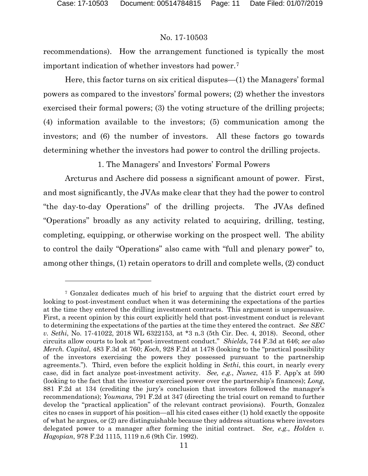### No. 17-10503

recommendations). How the arrangement functioned is typically the most important indication of whether investors had power.[7](#page-10-0)

Here, this factor turns on six critical disputes—(1) the Managers' formal powers as compared to the investors' formal powers; (2) whether the investors exercised their formal powers; (3) the voting structure of the drilling projects; (4) information available to the investors; (5) communication among the investors; and (6) the number of investors. All these factors go towards determining whether the investors had power to control the drilling projects.

1. The Managers' and Investors' Formal Powers

Arcturus and Aschere did possess a significant amount of power. First, and most significantly, the JVAs make clear that they had the power to control "the day-to-day Operations" of the drilling projects. The JVAs defined "Operations" broadly as any activity related to acquiring, drilling, testing, completing, equipping, or otherwise working on the prospect well. The ability to control the daily "Operations" also came with "full and plenary power" to, among other things, (1) retain operators to drill and complete wells, (2) conduct

<span id="page-10-0"></span><sup>7</sup> Gonzalez dedicates much of his brief to arguing that the district court erred by looking to post-investment conduct when it was determining the expectations of the parties at the time they entered the drilling investment contracts. This argument is unpersuasive. First, a recent opinion by this court explicitly held that post-investment conduct is relevant to determining the expectations of the parties at the time they entered the contract. *See SEC v. Sethi*, No. 17-41022, 2018 WL 6322153, at \*3 n.3 (5th Cir. Dec. 4, 2018). Second, other circuits allow courts to look at "post-investment conduct." *Shields*, 744 F.3d at 646; *see also Merch. Capital*, 483 F.3d at 760; *Koch*, 928 F.2d at 1478 (looking to the "practical possibility of the investors exercising the powers they possessed pursuant to the partnership agreements."). Third, even before the explicit holding in *Sethi*, this court, in nearly every case, did in fact analyze post-investment activity. *See, e.g.*, *Nunez*, 415 F. App'x at 590 (looking to the fact that the investor exercised power over the partnership's finances); *Long*, 881 F.2d at 134 (crediting the jury's conclusion that investors followed the manager's recommendations); *Youmans*, 791 F.2d at 347 (directing the trial court on remand to further develop the "practical application" of the relevant contract provisions). Fourth, Gonzalez cites no cases in support of his position—all his cited cases either (1) hold exactly the opposite of what he argues, or (2) are distinguishable because they address situations where investors delegated power to a manager after forming the initial contract. *See, e.g.*, *Holden v. Hagopian*, 978 F.2d 1115, 1119 n.6 (9th Cir. 1992).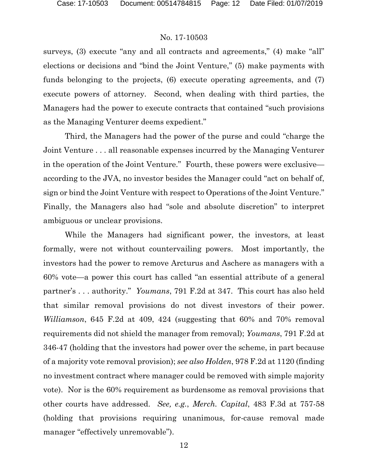surveys, (3) execute "any and all contracts and agreements," (4) make "all" elections or decisions and "bind the Joint Venture," (5) make payments with funds belonging to the projects, (6) execute operating agreements, and (7) execute powers of attorney. Second, when dealing with third parties, the Managers had the power to execute contracts that contained "such provisions as the Managing Venturer deems expedient."

Third, the Managers had the power of the purse and could "charge the Joint Venture . . . all reasonable expenses incurred by the Managing Venturer in the operation of the Joint Venture." Fourth, these powers were exclusive according to the JVA, no investor besides the Manager could "act on behalf of, sign or bind the Joint Venture with respect to Operations of the Joint Venture." Finally, the Managers also had "sole and absolute discretion" to interpret ambiguous or unclear provisions.

While the Managers had significant power, the investors, at least formally, were not without countervailing powers. Most importantly, the investors had the power to remove Arcturus and Aschere as managers with a 60% vote—a power this court has called "an essential attribute of a general partner's . . . authority." *Youmans*, 791 F.2d at 347. This court has also held that similar removal provisions do not divest investors of their power. *Williamson*, 645 F.2d at 409, 424 (suggesting that 60% and 70% removal requirements did not shield the manager from removal); *Youmans*, 791 F.2d at 346-47 (holding that the investors had power over the scheme, in part because of a majority vote removal provision); *see also Holden*, 978 F.2d at 1120 (finding no investment contract where manager could be removed with simple majority vote). Nor is the 60% requirement as burdensome as removal provisions that other courts have addressed. *See, e.g.*, *Merch. Capital*, 483 F.3d at 757-58 (holding that provisions requiring unanimous, for-cause removal made manager "effectively unremovable").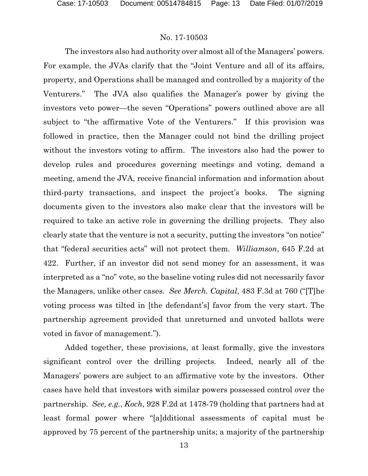The investors also had authority over almost all of the Managers' powers. For example, the JVAs clarify that the "Joint Venture and all of its affairs, property, and Operations shall be managed and controlled by a majority of the Venturers." The JVA also qualifies the Manager's power by giving the investors veto power—the seven "Operations" powers outlined above are all subject to "the affirmative Vote of the Venturers." If this provision was followed in practice, then the Manager could not bind the drilling project without the investors voting to affirm. The investors also had the power to develop rules and procedures governing meetings and voting, demand a meeting, amend the JVA, receive financial information and information about third-party transactions, and inspect the project's books. The signing documents given to the investors also make clear that the investors will be required to take an active role in governing the drilling projects. They also clearly state that the venture is not a security, putting the investors "on notice" that "federal securities acts" will not protect them. *Williamson*, 645 F.2d at 422. Further, if an investor did not send money for an assessment, it was interpreted as a "no" vote, so the baseline voting rules did not necessarily favor the Managers, unlike other cases. *See Merch. Capital*, 483 F.3d at 760 ("[T]he voting process was tilted in [the defendant's] favor from the very start. The partnership agreement provided that unreturned and unvoted ballots were voted in favor of management.").

Added together, these provisions, at least formally, give the investors significant control over the drilling projects. Indeed, nearly all of the Managers' powers are subject to an affirmative vote by the investors. Other cases have held that investors with similar powers possessed control over the partnership. *See, e.g.*, *Koch*, 928 F.2d at 1478-79 (holding that partners had at least formal power where "[a]dditional assessments of capital must be approved by 75 percent of the partnership units; a majority of the partnership

13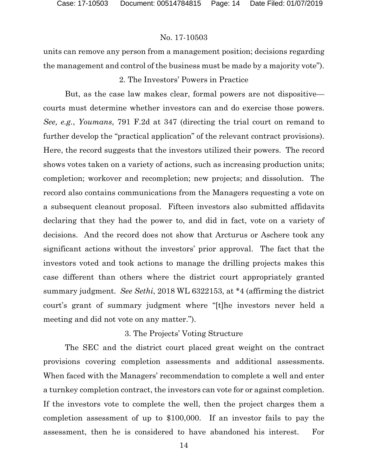units can remove any person from a management position; decisions regarding the management and control of the business must be made by a majority vote").

## 2. The Investors' Powers in Practice

But, as the case law makes clear, formal powers are not dispositive courts must determine whether investors can and do exercise those powers. *See, e.g.*, *Youmans*, 791 F.2d at 347 (directing the trial court on remand to further develop the "practical application" of the relevant contract provisions). Here, the record suggests that the investors utilized their powers. The record shows votes taken on a variety of actions, such as increasing production units; completion; workover and recompletion; new projects; and dissolution. The record also contains communications from the Managers requesting a vote on a subsequent cleanout proposal. Fifteen investors also submitted affidavits declaring that they had the power to, and did in fact, vote on a variety of decisions. And the record does not show that Arcturus or Aschere took any significant actions without the investors' prior approval. The fact that the investors voted and took actions to manage the drilling projects makes this case different than others where the district court appropriately granted summary judgment. *See Sethi*, 2018 WL 6322153, at \*4 (affirming the district court's grant of summary judgment where "[t]he investors never held a meeting and did not vote on any matter.").

# 3. The Projects' Voting Structure

The SEC and the district court placed great weight on the contract provisions covering completion assessments and additional assessments. When faced with the Managers' recommendation to complete a well and enter a turnkey completion contract, the investors can vote for or against completion. If the investors vote to complete the well, then the project charges them a completion assessment of up to \$100,000. If an investor fails to pay the assessment, then he is considered to have abandoned his interest. For

14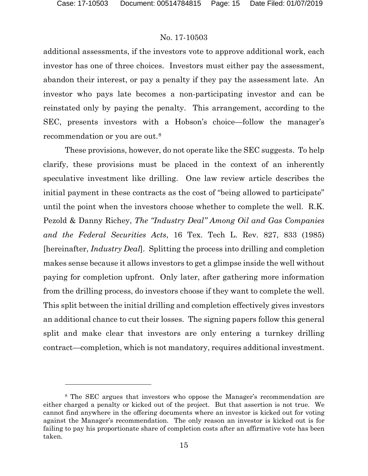### No. 17-10503

additional assessments, if the investors vote to approve additional work, each investor has one of three choices. Investors must either pay the assessment, abandon their interest, or pay a penalty if they pay the assessment late. An investor who pays late becomes a non-participating investor and can be reinstated only by paying the penalty. This arrangement, according to the SEC, presents investors with a Hobson's choice—follow the manager's recommendation or you are out.[8](#page-14-0)

These provisions, however, do not operate like the SEC suggests. To help clarify, these provisions must be placed in the context of an inherently speculative investment like drilling. One law review article describes the initial payment in these contracts as the cost of "being allowed to participate" until the point when the investors choose whether to complete the well. R.K. Pezold & Danny Richey, *The "Industry Deal" Among Oil and Gas Companies and the Federal Securities Acts*, 16 Tex. Tech L. Rev. 827, 833 (1985) [hereinafter, *Industry Deal*]. Splitting the process into drilling and completion makes sense because it allows investors to get a glimpse inside the well without paying for completion upfront. Only later, after gathering more information from the drilling process, do investors choose if they want to complete the well. This split between the initial drilling and completion effectively gives investors an additional chance to cut their losses. The signing papers follow this general split and make clear that investors are only entering a turnkey drilling contract—completion, which is not mandatory, requires additional investment.

<span id="page-14-0"></span><sup>8</sup> The SEC argues that investors who oppose the Manager's recommendation are either charged a penalty or kicked out of the project. But that assertion is not true. We cannot find anywhere in the offering documents where an investor is kicked out for voting against the Manager's recommendation. The only reason an investor is kicked out is for failing to pay his proportionate share of completion costs after an affirmative vote has been taken.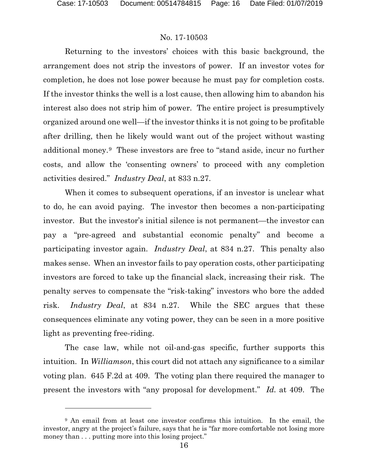### No. 17-10503

Returning to the investors' choices with this basic background, the arrangement does not strip the investors of power. If an investor votes for completion, he does not lose power because he must pay for completion costs. If the investor thinks the well is a lost cause, then allowing him to abandon his interest also does not strip him of power. The entire project is presumptively organized around one well—if the investor thinks it is not going to be profitable after drilling, then he likely would want out of the project without wasting additional money.[9](#page-15-0) These investors are free to "stand aside, incur no further costs, and allow the 'consenting owners' to proceed with any completion activities desired." *Industry Deal*, at 833 n.27.

When it comes to subsequent operations, if an investor is unclear what to do, he can avoid paying. The investor then becomes a non-participating investor. But the investor's initial silence is not permanent—the investor can pay a "pre-agreed and substantial economic penalty" and become a participating investor again. *Industry Deal*, at 834 n.27. This penalty also makes sense. When an investor fails to pay operation costs, other participating investors are forced to take up the financial slack, increasing their risk. The penalty serves to compensate the "risk-taking" investors who bore the added risk. *Industry Deal*, at 834 n.27. While the SEC argues that these consequences eliminate any voting power, they can be seen in a more positive light as preventing free-riding.

The case law, while not oil-and-gas specific, further supports this intuition. In *Williamson*, this court did not attach any significance to a similar voting plan. 645 F.2d at 409. The voting plan there required the manager to present the investors with "any proposal for development." *Id.* at 409. The

<span id="page-15-0"></span><sup>&</sup>lt;sup>9</sup> An email from at least one investor confirms this intuition. In the email, the investor, angry at the project's failure, says that he is "far more comfortable not losing more money than  $\dots$  putting more into this losing project."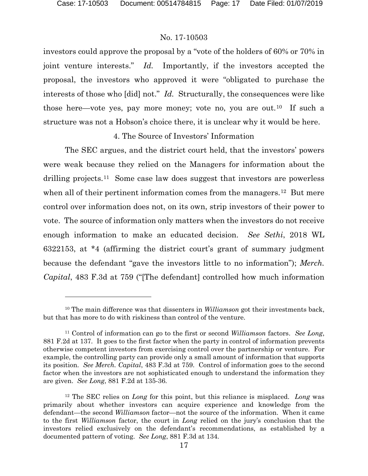### No. 17-10503

investors could approve the proposal by a "vote of the holders of 60% or 70% in joint venture interests." *Id.* Importantly, if the investors accepted the proposal, the investors who approved it were "obligated to purchase the interests of those who [did] not." *Id.* Structurally, the consequences were like those here—vote yes, pay more money; vote no, you are out.<sup>[10](#page-16-0)</sup> If such a structure was not a Hobson's choice there, it is unclear why it would be here.

### 4. The Source of Investors' Information

The SEC argues, and the district court held, that the investors' powers were weak because they relied on the Managers for information about the drilling projects.<sup>11</sup> Some case law does suggest that investors are powerless when all of their pertinent information comes from the managers.<sup>[12](#page-16-2)</sup> But mere control over information does not, on its own, strip investors of their power to vote. The source of information only matters when the investors do not receive enough information to make an educated decision. *See Sethi*, 2018 WL 6322153, at \*4 (affirming the district court's grant of summary judgment because the defendant "gave the investors little to no information"); *Merch. Capital*, 483 F.3d at 759 ("[The defendant] controlled how much information

<span id="page-16-0"></span><sup>10</sup> The main difference was that dissenters in *Williamson* got their investments back, but that has more to do with riskiness than control of the venture.

<span id="page-16-1"></span><sup>11</sup> Control of information can go to the first or second *Williamson* factors. *See Long*, 881 F.2d at 137. It goes to the first factor when the party in control of information prevents otherwise competent investors from exercising control over the partnership or venture. For example, the controlling party can provide only a small amount of information that supports its position. *See Merch. Capital*, 483 F.3d at 759. Control of information goes to the second factor when the investors are not sophisticated enough to understand the information they are given. *See Long*, 881 F.2d at 135-36.

<span id="page-16-2"></span><sup>12</sup> The SEC relies on *Long* for this point, but this reliance is misplaced. *Long* was primarily about whether investors can acquire experience and knowledge from the defendant—the second *Williamson* factor—not the source of the information. When it came to the first *Williamson* factor, the court in *Long* relied on the jury's conclusion that the investors relied exclusively on the defendant's recommendations, as established by a documented pattern of voting. *See Long*, 881 F.3d at 134.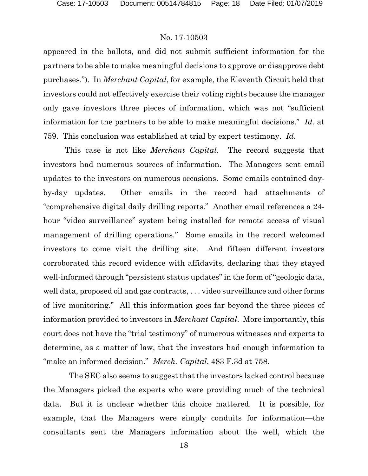appeared in the ballots, and did not submit sufficient information for the partners to be able to make meaningful decisions to approve or disapprove debt purchases."). In *Merchant Capital*, for example, the Eleventh Circuit held that investors could not effectively exercise their voting rights because the manager only gave investors three pieces of information, which was not "sufficient information for the partners to be able to make meaningful decisions." *Id.* at 759. This conclusion was established at trial by expert testimony. *Id.*

This case is not like *Merchant Capital*. The record suggests that investors had numerous sources of information. The Managers sent email updates to the investors on numerous occasions. Some emails contained dayby-day updates. Other emails in the record had attachments of "comprehensive digital daily drilling reports." Another email references a 24 hour "video surveillance" system being installed for remote access of visual management of drilling operations." Some emails in the record welcomed investors to come visit the drilling site. And fifteen different investors corroborated this record evidence with affidavits, declaring that they stayed well-informed through "persistent status updates" in the form of "geologic data, well data, proposed oil and gas contracts, . . . video surveillance and other forms of live monitoring." All this information goes far beyond the three pieces of information provided to investors in *Merchant Capital*. More importantly, this court does not have the "trial testimony" of numerous witnesses and experts to determine, as a matter of law, that the investors had enough information to "make an informed decision." *Merch. Capital*, 483 F.3d at 758.

 The SEC also seems to suggest that the investors lacked control because the Managers picked the experts who were providing much of the technical data. But it is unclear whether this choice mattered. It is possible, for example, that the Managers were simply conduits for information—the consultants sent the Managers information about the well, which the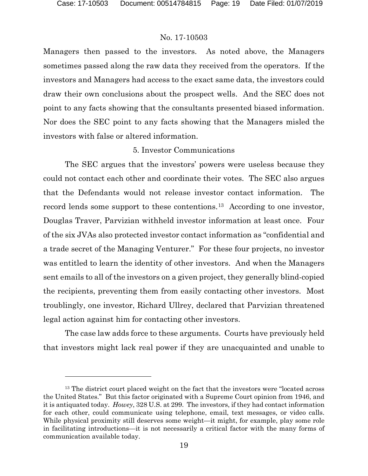### No. 17-10503

Managers then passed to the investors. As noted above, the Managers sometimes passed along the raw data they received from the operators. If the investors and Managers had access to the exact same data, the investors could draw their own conclusions about the prospect wells. And the SEC does not point to any facts showing that the consultants presented biased information. Nor does the SEC point to any facts showing that the Managers misled the investors with false or altered information.

### 5. Investor Communications

The SEC argues that the investors' powers were useless because they could not contact each other and coordinate their votes. The SEC also argues that the Defendants would not release investor contact information. The record lends some support to these contentions.[13](#page-18-0) According to one investor, Douglas Traver, Parvizian withheld investor information at least once. Four of the six JVAs also protected investor contact information as "confidential and a trade secret of the Managing Venturer." For these four projects, no investor was entitled to learn the identity of other investors. And when the Managers sent emails to all of the investors on a given project, they generally blind-copied the recipients, preventing them from easily contacting other investors. Most troublingly, one investor, Richard Ullrey, declared that Parvizian threatened legal action against him for contacting other investors.

The case law adds force to these arguments. Courts have previously held that investors might lack real power if they are unacquainted and unable to

<span id="page-18-0"></span><sup>&</sup>lt;sup>13</sup> The district court placed weight on the fact that the investors were "located across" the United States." But this factor originated with a Supreme Court opinion from 1946, and it is antiquated today. *Howey*, 328 U.S. at 299. The investors, if they had contact information for each other, could communicate using telephone, email, text messages, or video calls. While physical proximity still deserves some weight—it might, for example, play some role in facilitating introductions—it is not necessarily a critical factor with the many forms of communication available today.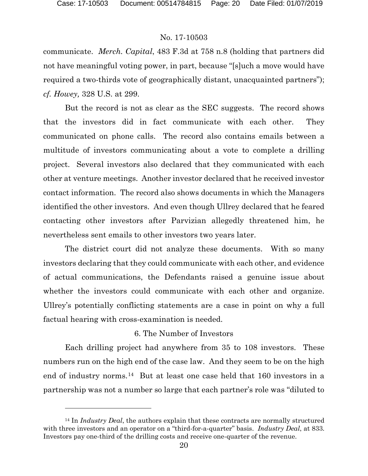#### No. 17-10503

communicate. *Merch. Capital*, 483 F.3d at 758 n.8 (holding that partners did not have meaningful voting power, in part, because "[s]uch a move would have required a two-thirds vote of geographically distant, unacquainted partners"); *cf. Howey,* 328 U.S. at 299.

But the record is not as clear as the SEC suggests. The record shows that the investors did in fact communicate with each other. They communicated on phone calls. The record also contains emails between a multitude of investors communicating about a vote to complete a drilling project. Several investors also declared that they communicated with each other at venture meetings. Another investor declared that he received investor contact information. The record also shows documents in which the Managers identified the other investors. And even though Ullrey declared that he feared contacting other investors after Parvizian allegedly threatened him, he nevertheless sent emails to other investors two years later.

The district court did not analyze these documents. With so many investors declaring that they could communicate with each other, and evidence of actual communications, the Defendants raised a genuine issue about whether the investors could communicate with each other and organize. Ullrey's potentially conflicting statements are a case in point on why a full factual hearing with cross-examination is needed.

### 6. The Number of Investors

Each drilling project had anywhere from 35 to 108 investors. These numbers run on the high end of the case law. And they seem to be on the high end of industry norms.[14](#page-19-0) But at least one case held that 160 investors in a partnership was not a number so large that each partner's role was "diluted to

<span id="page-19-0"></span><sup>&</sup>lt;sup>14</sup> In *Industry Deal*, the authors explain that these contracts are normally structured with three investors and an operator on a "third-for-a-quarter" basis. *Industry Deal*, at 833. Investors pay one-third of the drilling costs and receive one-quarter of the revenue.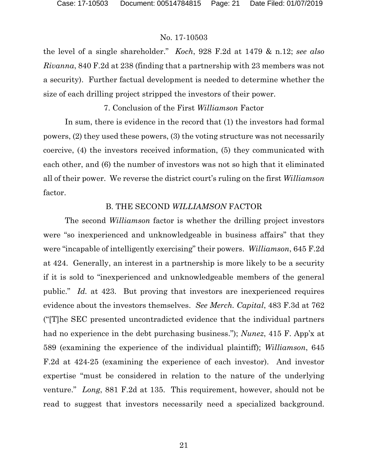the level of a single shareholder." *Koch*, 928 F.2d at 1479 & n.12; *see also Rivanna*, 840 F.2d at 238 (finding that a partnership with 23 members was not a security). Further factual development is needed to determine whether the size of each drilling project stripped the investors of their power.

## 7. Conclusion of the First *Williamson* Factor

In sum, there is evidence in the record that (1) the investors had formal powers, (2) they used these powers, (3) the voting structure was not necessarily coercive, (4) the investors received information, (5) they communicated with each other, and (6) the number of investors was not so high that it eliminated all of their power. We reverse the district court's ruling on the first *Williamson* factor.

### B. THE SECOND *WILLIAMSON* FACTOR

The second *Williamson* factor is whether the drilling project investors were "so inexperienced and unknowledgeable in business affairs" that they were "incapable of intelligently exercising" their powers. *Williamson*, 645 F.2d at 424. Generally, an interest in a partnership is more likely to be a security if it is sold to "inexperienced and unknowledgeable members of the general public." *Id.* at 423. But proving that investors are inexperienced requires evidence about the investors themselves. *See Merch. Capital*, 483 F.3d at 762 ("[T]he SEC presented uncontradicted evidence that the individual partners had no experience in the debt purchasing business."); *Nunez*, 415 F. App'x at 589 (examining the experience of the individual plaintiff); *Williamson*, 645 F.2d at 424-25 (examining the experience of each investor). And investor expertise "must be considered in relation to the nature of the underlying venture." *Long*, 881 F.2d at 135. This requirement, however, should not be read to suggest that investors necessarily need a specialized background.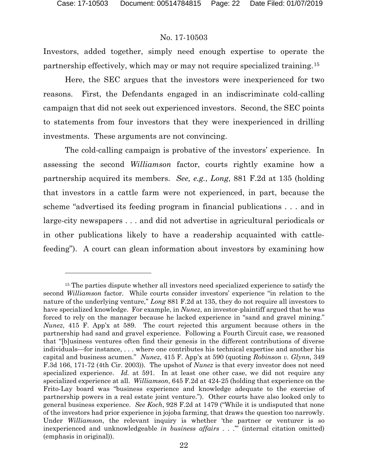### No. 17-10503

Investors, added together, simply need enough expertise to operate the partnership effectively, which may or may not require specialized training.[15](#page-21-0) 

Here, the SEC argues that the investors were inexperienced for two reasons. First, the Defendants engaged in an indiscriminate cold-calling campaign that did not seek out experienced investors. Second, the SEC points to statements from four investors that they were inexperienced in drilling investments. These arguments are not convincing.

The cold-calling campaign is probative of the investors' experience. In assessing the second *Williamson* factor, courts rightly examine how a partnership acquired its members. *See, e.g.*, *Long*, 881 F.2d at 135 (holding that investors in a cattle farm were not experienced, in part, because the scheme "advertised its feeding program in financial publications . . . and in large-city newspapers . . . and did not advertise in agricultural periodicals or in other publications likely to have a readership acquainted with cattlefeeding"). A court can glean information about investors by examining how

<span id="page-21-0"></span><sup>&</sup>lt;sup>15</sup> The parties dispute whether all investors need specialized experience to satisfy the second *Williamson* factor. While courts consider investors' experience "in relation to the nature of the underlying venture," *Long* 881 F.2d at 135, they do not require all investors to have specialized knowledge. For example, in *Nunez*, an investor-plaintiff argued that he was forced to rely on the manager because he lacked experience in "sand and gravel mining." *Nunez*, 415 F. App'x at 589. The court rejected this argument because others in the partnership had sand and gravel experience. Following a Fourth Circuit case, we reasoned that "[b]usiness ventures often find their genesis in the different contributions of diverse individuals—for instance, . . . where one contributes his technical expertise and another his capital and business acumen." *Nunez*, 415 F. App'x at 590 (quoting *Robinson v. Glynn*, 349 F.3d 166, 171-72 (4th Cir. 2003)). The upshot of *Nunez* is that every investor does not need specialized experience. *Id.* at 591. In at least one other case, we did not require any specialized experience at all. *Williamson*, 645 F.2d at 424-25 (holding that experience on the Frito-Lay board was "business experience and knowledge adequate to the exercise of partnership powers in a real estate joint venture."). Other courts have also looked only to general business experience. *See Koch*, 928 F.2d at 1479 ("While it is undisputed that none of the investors had prior experience in jojoba farming, that draws the question too narrowly. Under *Williamson*, the relevant inquiry is whether 'the partner or venturer is so inexperienced and unknowledgeable *in business affairs* . . .'" (internal citation omitted) (emphasis in original)).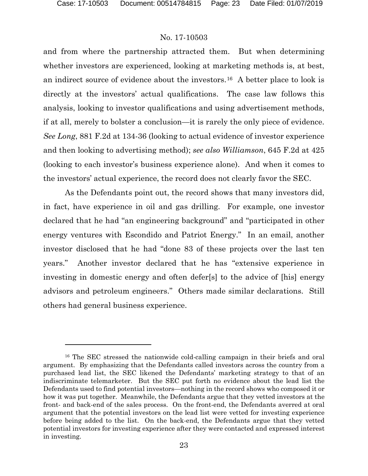### No. 17-10503

and from where the partnership attracted them. But when determining whether investors are experienced, looking at marketing methods is, at best, an indirect source of evidence about the investors.[16](#page-22-0) A better place to look is directly at the investors' actual qualifications. The case law follows this analysis, looking to investor qualifications and using advertisement methods, if at all, merely to bolster a conclusion—it is rarely the only piece of evidence. *See Long*, 881 F.2d at 134-36 (looking to actual evidence of investor experience and then looking to advertising method); *see also Williamson*, 645 F.2d at 425 (looking to each investor's business experience alone). And when it comes to the investors' actual experience, the record does not clearly favor the SEC.

As the Defendants point out, the record shows that many investors did, in fact, have experience in oil and gas drilling. For example, one investor declared that he had "an engineering background" and "participated in other energy ventures with Escondido and Patriot Energy." In an email, another investor disclosed that he had "done 83 of these projects over the last ten years." Another investor declared that he has "extensive experience in investing in domestic energy and often defer[s] to the advice of [his] energy advisors and petroleum engineers." Others made similar declarations. Still others had general business experience.

<span id="page-22-0"></span><sup>16</sup> The SEC stressed the nationwide cold-calling campaign in their briefs and oral argument. By emphasizing that the Defendants called investors across the country from a purchased lead list, the SEC likened the Defendants' marketing strategy to that of an indiscriminate telemarketer. But the SEC put forth no evidence about the lead list the Defendants used to find potential investors—nothing in the record shows who composed it or how it was put together. Meanwhile, the Defendants argue that they vetted investors at the front- and back-end of the sales process. On the front-end, the Defendants averred at oral argument that the potential investors on the lead list were vetted for investing experience before being added to the list. On the back-end, the Defendants argue that they vetted potential investors for investing experience after they were contacted and expressed interest in investing.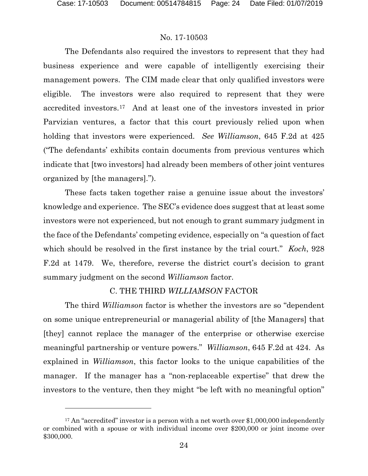### No. 17-10503

The Defendants also required the investors to represent that they had business experience and were capable of intelligently exercising their management powers. The CIM made clear that only qualified investors were eligible. The investors were also required to represent that they were accredited investors.[17](#page-23-0) And at least one of the investors invested in prior Parvizian ventures, a factor that this court previously relied upon when holding that investors were experienced. *See Williamson*, 645 F.2d at 425 ("The defendants' exhibits contain documents from previous ventures which indicate that [two investors] had already been members of other joint ventures organized by [the managers].").

These facts taken together raise a genuine issue about the investors' knowledge and experience. The SEC's evidence does suggest that at least some investors were not experienced, but not enough to grant summary judgment in the face of the Defendants' competing evidence, especially on "a question of fact which should be resolved in the first instance by the trial court." *Koch*, 928 F.2d at 1479. We, therefore, reverse the district court's decision to grant summary judgment on the second *Williamson* factor.

### C. THE THIRD *WILLIAMSON* FACTOR

The third *Williamson* factor is whether the investors are so "dependent on some unique entrepreneurial or managerial ability of [the Managers] that [they] cannot replace the manager of the enterprise or otherwise exercise meaningful partnership or venture powers." *Williamson*, 645 F.2d at 424. As explained in *Williamson*, this factor looks to the unique capabilities of the manager. If the manager has a "non-replaceable expertise" that drew the investors to the venture, then they might "be left with no meaningful option"

<span id="page-23-0"></span><sup>&</sup>lt;sup>17</sup> An "accredited" investor is a person with a net worth over \$1,000,000 independently or combined with a spouse or with individual income over \$200,000 or joint income over \$300,000.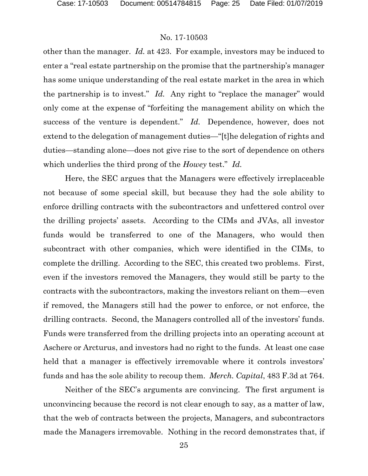other than the manager. *Id.* at 423. For example, investors may be induced to enter a "real estate partnership on the promise that the partnership's manager has some unique understanding of the real estate market in the area in which the partnership is to invest." *Id.* Any right to "replace the manager" would only come at the expense of "forfeiting the management ability on which the success of the venture is dependent." *Id.* Dependence, however, does not extend to the delegation of management duties—"[t]he delegation of rights and duties—standing alone—does not give rise to the sort of dependence on others which underlies the third prong of the *Howey* test." *Id.*

Here, the SEC argues that the Managers were effectively irreplaceable not because of some special skill, but because they had the sole ability to enforce drilling contracts with the subcontractors and unfettered control over the drilling projects' assets. According to the CIMs and JVAs, all investor funds would be transferred to one of the Managers, who would then subcontract with other companies, which were identified in the CIMs, to complete the drilling. According to the SEC, this created two problems. First, even if the investors removed the Managers, they would still be party to the contracts with the subcontractors, making the investors reliant on them—even if removed, the Managers still had the power to enforce, or not enforce, the drilling contracts. Second, the Managers controlled all of the investors' funds. Funds were transferred from the drilling projects into an operating account at Aschere or Arcturus, and investors had no right to the funds. At least one case held that a manager is effectively irremovable where it controls investors' funds and has the sole ability to recoup them. *Merch. Capital*, 483 F.3d at 764.

Neither of the SEC's arguments are convincing. The first argument is unconvincing because the record is not clear enough to say, as a matter of law, that the web of contracts between the projects, Managers, and subcontractors made the Managers irremovable. Nothing in the record demonstrates that, if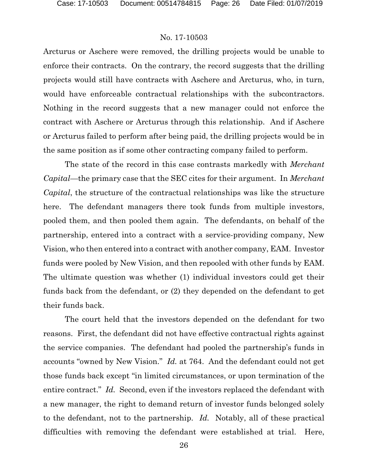Arcturus or Aschere were removed, the drilling projects would be unable to enforce their contracts. On the contrary, the record suggests that the drilling projects would still have contracts with Aschere and Arcturus, who, in turn, would have enforceable contractual relationships with the subcontractors. Nothing in the record suggests that a new manager could not enforce the contract with Aschere or Arcturus through this relationship. And if Aschere or Arcturus failed to perform after being paid, the drilling projects would be in the same position as if some other contracting company failed to perform.

The state of the record in this case contrasts markedly with *Merchant Capital*—the primary case that the SEC cites for their argument. In *Merchant Capital*, the structure of the contractual relationships was like the structure here. The defendant managers there took funds from multiple investors, pooled them, and then pooled them again. The defendants, on behalf of the partnership, entered into a contract with a service-providing company, New Vision, who then entered into a contract with another company, EAM. Investor funds were pooled by New Vision, and then repooled with other funds by EAM. The ultimate question was whether (1) individual investors could get their funds back from the defendant, or (2) they depended on the defendant to get their funds back.

The court held that the investors depended on the defendant for two reasons. First, the defendant did not have effective contractual rights against the service companies. The defendant had pooled the partnership's funds in accounts "owned by New Vision." *Id.* at 764. And the defendant could not get those funds back except "in limited circumstances, or upon termination of the entire contract." *Id.* Second, even if the investors replaced the defendant with a new manager, the right to demand return of investor funds belonged solely to the defendant, not to the partnership. *Id.* Notably, all of these practical difficulties with removing the defendant were established at trial. Here,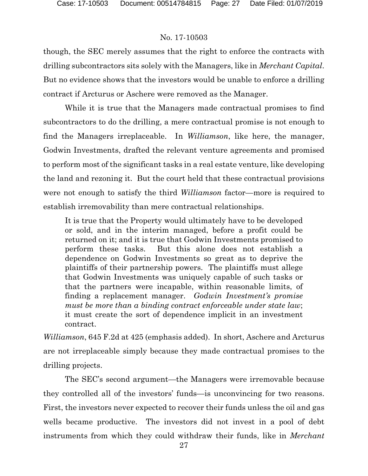though, the SEC merely assumes that the right to enforce the contracts with drilling subcontractors sits solely with the Managers, like in *Merchant Capital*. But no evidence shows that the investors would be unable to enforce a drilling contract if Arcturus or Aschere were removed as the Manager.

While it is true that the Managers made contractual promises to find subcontractors to do the drilling, a mere contractual promise is not enough to find the Managers irreplaceable. In *Williamson*, like here, the manager, Godwin Investments, drafted the relevant venture agreements and promised to perform most of the significant tasks in a real estate venture, like developing the land and rezoning it. But the court held that these contractual provisions were not enough to satisfy the third *Williamson* factor—more is required to establish irremovability than mere contractual relationships.

It is true that the Property would ultimately have to be developed or sold, and in the interim managed, before a profit could be returned on it; and it is true that Godwin Investments promised to perform these tasks. But this alone does not establish a dependence on Godwin Investments so great as to deprive the plaintiffs of their partnership powers. The plaintiffs must allege that Godwin Investments was uniquely capable of such tasks or that the partners were incapable, within reasonable limits, of finding a replacement manager. *Godwin Investment's promise must be more than a binding contract enforceable under state law*; it must create the sort of dependence implicit in an investment contract.

*Williamson*, 645 F.2d at 425 (emphasis added). In short, Aschere and Arcturus are not irreplaceable simply because they made contractual promises to the drilling projects.

The SEC's second argument—the Managers were irremovable because they controlled all of the investors' funds—is unconvincing for two reasons. First, the investors never expected to recover their funds unless the oil and gas wells became productive. The investors did not invest in a pool of debt instruments from which they could withdraw their funds, like in *Merchant*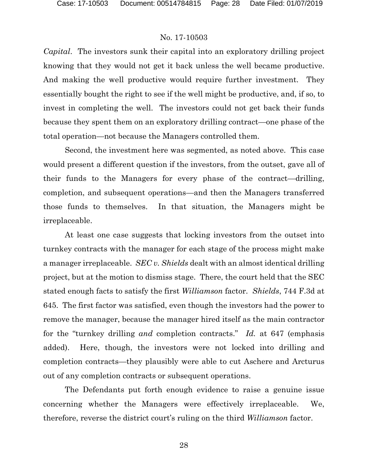*Capital*. The investors sunk their capital into an exploratory drilling project knowing that they would not get it back unless the well became productive. And making the well productive would require further investment. They essentially bought the right to see if the well might be productive, and, if so, to invest in completing the well. The investors could not get back their funds because they spent them on an exploratory drilling contract—one phase of the total operation—not because the Managers controlled them.

Second, the investment here was segmented, as noted above. This case would present a different question if the investors, from the outset, gave all of their funds to the Managers for every phase of the contract—drilling, completion, and subsequent operations—and then the Managers transferred those funds to themselves. In that situation, the Managers might be irreplaceable.

At least one case suggests that locking investors from the outset into turnkey contracts with the manager for each stage of the process might make a manager irreplaceable. *SEC v. Shields* dealt with an almost identical drilling project, but at the motion to dismiss stage. There, the court held that the SEC stated enough facts to satisfy the first *Williamson* factor. *Shields*, 744 F.3d at 645. The first factor was satisfied, even though the investors had the power to remove the manager, because the manager hired itself as the main contractor for the "turnkey drilling *and* completion contracts." *Id.* at 647 (emphasis added). Here, though, the investors were not locked into drilling and completion contracts—they plausibly were able to cut Aschere and Arcturus out of any completion contracts or subsequent operations.

The Defendants put forth enough evidence to raise a genuine issue concerning whether the Managers were effectively irreplaceable. We, therefore, reverse the district court's ruling on the third *Williamson* factor.

28